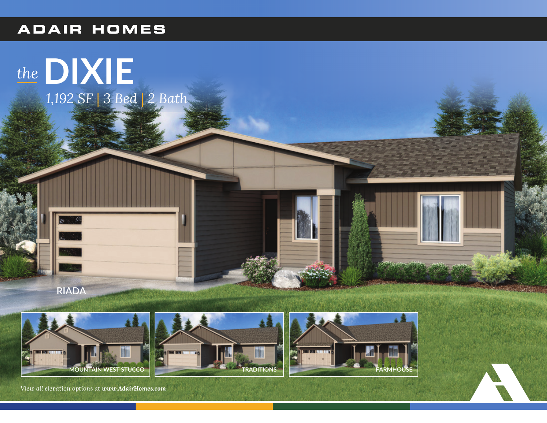## **ADAIR HOMES**











View all elevation options at www.AdairHomes.com